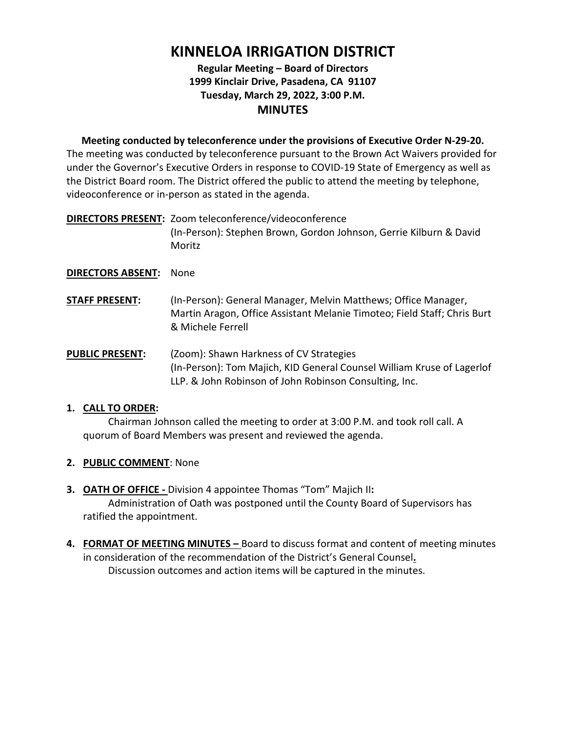# **KINNELOA IRRIGATION DISTRICT**

# **Regular Meeting – Board of Directors 1999 Kinclair Drive, Pasadena, CA 91107 Tuesday, March 29, 2022, 3:00 P.M. MINUTES**

**Meeting conducted by teleconference under the provisions of Executive Order N-29-20.** The meeting was conducted by teleconference pursuant to the Brown Act Waivers provided for under the Governor's Executive Orders in response to COVID-19 State of Emergency as well as the District Board room. The District offered the public to attend the meeting by telephone, videoconference or in-person as stated in the agenda.

**DIRECTORS PRESENT:** Zoom teleconference/videoconference (In-Person): Stephen Brown, Gordon Johnson, Gerrie Kilburn & David Moritz

# **DIRECTORS ABSENT:** None

- **STAFF PRESENT:** (In-Person): General Manager, Melvin Matthews; Office Manager, Martin Aragon, Office Assistant Melanie Timoteo; Field Staff; Chris Burt & Michele Ferrell
- **PUBLIC PRESENT:** (Zoom): Shawn Harkness of CV Strategies (In-Person): Tom Majich, KID General Counsel William Kruse of Lagerlof LLP. & John Robinson of John Robinson Consulting, Inc.

## **1. CALL TO ORDER:**

Chairman Johnson called the meeting to order at 3:00 P.M. and took roll call. A quorum of Board Members was present and reviewed the agenda.

- **2. PUBLIC COMMENT**: None
- **3. OATH OF OFFICE** Division 4 appointee Thomas "Tom" Majich II**:** Administration of Oath was postponed until the County Board of Supervisors has ratified the appointment.
- **4. FORMAT OF MEETING MINUTES** Board to discuss format and content of meeting minutes in consideration of the recommendation of the District's General Counsel**.** Discussion outcomes and action items will be captured in the minutes.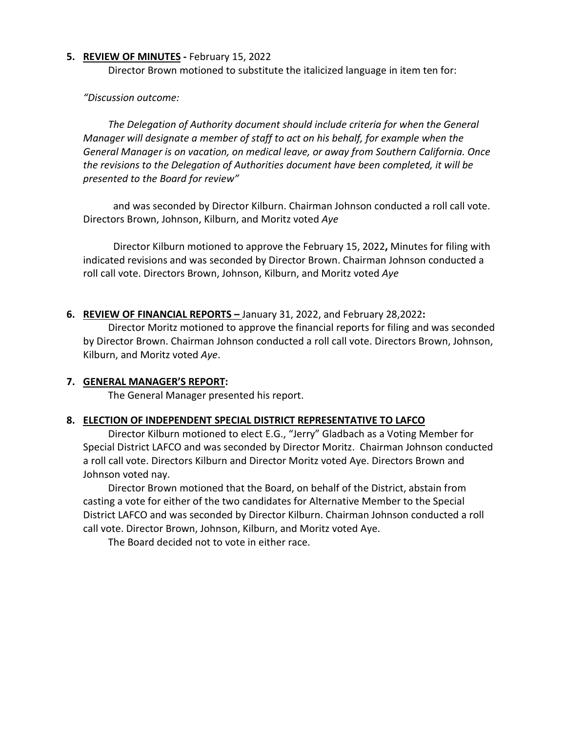#### **5. REVIEW OF MINUTES -** February 15, 2022

Director Brown motioned to substitute the italicized language in item ten for:

*"Discussion outcome:*

*The Delegation of Authority document should include criteria for when the General Manager will designate a member of staff to act on his behalf, for example when the General Manager is on vacation, on medical leave, or away from Southern California. Once the revisions to the Delegation of Authorities document have been completed, it will be presented to the Board for review"* 

 and was seconded by Director Kilburn. Chairman Johnson conducted a roll call vote. Directors Brown, Johnson, Kilburn, and Moritz voted *Aye*

 Director Kilburn motioned to approve the February 15, 2022**,** Minutes for filing with indicated revisions and was seconded by Director Brown. Chairman Johnson conducted a roll call vote. Directors Brown, Johnson, Kilburn, and Moritz voted *Aye*

# **6. REVIEW OF FINANCIAL REPORTS –** January 31, 2022, and February 28,2022**:**

Director Moritz motioned to approve the financial reports for filing and was seconded by Director Brown. Chairman Johnson conducted a roll call vote. Directors Brown, Johnson, Kilburn, and Moritz voted *Aye*.

## **7. GENERAL MANAGER'S REPORT:**

The General Manager presented his report.

## **8. ELECTION OF INDEPENDENT SPECIAL DISTRICT REPRESENTATIVE TO LAFCO**

Director Kilburn motioned to elect E.G., "Jerry" Gladbach as a Voting Member for Special District LAFCO and was seconded by Director Moritz. Chairman Johnson conducted a roll call vote. Directors Kilburn and Director Moritz voted Aye. Directors Brown and Johnson voted nay.

Director Brown motioned that the Board, on behalf of the District, abstain from casting a vote for either of the two candidates for Alternative Member to the Special District LAFCO and was seconded by Director Kilburn. Chairman Johnson conducted a roll call vote. Director Brown, Johnson, Kilburn, and Moritz voted Aye.

The Board decided not to vote in either race.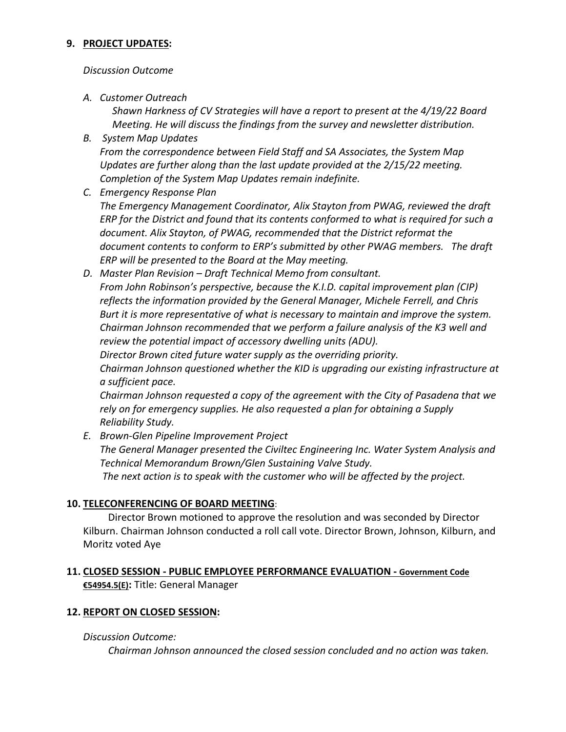## **9. PROJECT UPDATES:**

# *Discussion Outcome*

*A. Customer Outreach*

*Shawn Harkness of CV Strategies will have a report to present at the 4/19/22 Board Meeting. He will discuss the findings from the survey and newsletter distribution.*

*B. System Map Updates From the correspondence between Field Staff and SA Associates, the System Map* 

*Updates are further along than the last update provided at the 2/15/22 meeting. Completion of the System Map Updates remain indefinite.* 

- *C. Emergency Response Plan The Emergency Management Coordinator, Alix Stayton from PWAG, reviewed the draft ERP for the District and found that its contents conformed to what is required for such a document. Alix Stayton, of PWAG, recommended that the District reformat the document contents to conform to ERP's submitted by other PWAG members. The draft ERP will be presented to the Board at the May meeting.*
- *D. Master Plan Revision Draft Technical Memo from consultant. From John Robinson's perspective, because the K.I.D. capital improvement plan (CIP) reflects the information provided by the General Manager, Michele Ferrell, and Chris Burt it is more representative of what is necessary to maintain and improve the system. Chairman Johnson recommended that we perform a failure analysis of the K3 well and review the potential impact of accessory dwelling units (ADU).*

*Director Brown cited future water supply as the overriding priority. Chairman Johnson questioned whether the KID is upgrading our existing infrastructure at* 

*a sufficient pace.*

*Chairman Johnson requested a copy of the agreement with the City of Pasadena that we rely on for emergency supplies. He also requested a plan for obtaining a Supply Reliability Study.*

*E. Brown-Glen Pipeline Improvement Project The General Manager presented the Civiltec Engineering Inc. Water System Analysis and Technical Memorandum Brown/Glen Sustaining Valve Study. The next action is to speak with the customer who will be affected by the project.* 

# **10. TELECONFERENCING OF BOARD MEETING**:

Director Brown motioned to approve the resolution and was seconded by Director Kilburn. Chairman Johnson conducted a roll call vote. Director Brown, Johnson, Kilburn, and Moritz voted Aye

**11. CLOSED SESSION - PUBLIC EMPLOYEE PERFORMANCE EVALUATION - Government Code €54954.5(E):** Title: General Manager

# **12. REPORT ON CLOSED SESSION:**

# *Discussion Outcome:*

*Chairman Johnson announced the closed session concluded and no action was taken.*